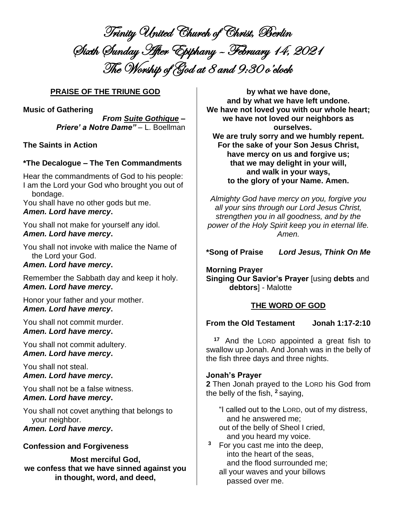Trinity United Church of Christ, Berlin Sixth Sunday After Epiphany – February 14, 2021 The Worship of God at 8 and 9:30 o'clock

## **PRAISE OF THE TRIUNE GOD**

**Music of Gathering**

*From Suite Gothique – Priere' a Notre Dame"* – L. Boellman

**The Saints in Action**

## **\*The Decalogue – The Ten Commandments**

Hear the commandments of God to his people: I am the Lord your God who brought you out of bondage.

You shall have no other gods but me. *Amen. Lord have mercy***.**

You shall not make for yourself any idol. *Amen. Lord have mercy***.**

You shall not invoke with malice the Name of the Lord your God.

## *Amen. Lord have mercy***.**

Remember the Sabbath day and keep it holy. *Amen. Lord have mercy***.**

Honor your father and your mother. *Amen. Lord have mercy***.**

You shall not commit murder. *Amen. Lord have mercy***.**

You shall not commit adultery. *Amen. Lord have mercy***.**

You shall not steal. *Amen. Lord have mercy***.**

You shall not be a false witness. *Amen. Lord have mercy***.**

You shall not covet anything that belongs to your neighbor. *Amen. Lord have mercy***.**

## **Confession and Forgiveness**

**Most merciful God, we confess that we have sinned against you in thought, word, and deed,**

**by what we have done, and by what we have left undone. We have not loved you with our whole heart; we have not loved our neighbors as ourselves.**

**We are truly sorry and we humbly repent. For the sake of your Son Jesus Christ, have mercy on us and forgive us; that we may delight in your will, and walk in your ways, to the glory of your Name. Amen.**

*Almighty God have mercy on you, forgive you all your sins through our Lord Jesus Christ, strengthen you in all goodness, and by the power of the Holy Spirit keep you in eternal life. Amen.*

**\*Song of Praise** *Lord Jesus, Think On Me*

**Morning Prayer Singing Our Savior's Prayer** [using **debts** and **debtors**] - Malotte

## **THE WORD OF GOD**

## **From the Old Testament Jonah 1:17-2:10**

**<sup>17</sup>** And the LORD appointed a great fish to swallow up Jonah. And Jonah was in the belly of the fish three days and three nights.

#### **Jonah's Prayer**

**2** Then Jonah prayed to the LORD his God from the belly of the fish, **<sup>2</sup>** saying,

"I called out to the LORD, out of my distress, and he answered me; out of the belly of Sheol I cried, and you heard my voice.

**<sup>3</sup>** For you cast me into the deep, into the heart of the seas, and the flood surrounded me; all your waves and your billows passed over me.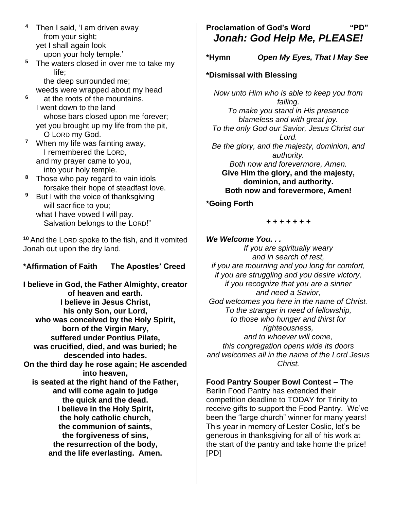- **<sup>4</sup>** Then I said, 'I am driven away from your sight; yet I shall again look upon your holy temple.'
- **<sup>5</sup>** The waters closed in over me to take my life; the deep surrounded me;

weeds were wrapped about my head

- **<sup>6</sup>** at the roots of the mountains. I went down to the land whose bars closed upon me forever; yet you brought up my life from the pit, O LORD my God.
- **<sup>7</sup>** When my life was fainting away, I remembered the LORD, and my prayer came to you, into your holy temple.
- **<sup>8</sup>** Those who pay regard to vain idols forsake their hope of steadfast love.
- **<sup>9</sup>** But I with the voice of thanksgiving will sacrifice to you; what I have vowed I will pay. Salvation belongs to the LORD!"

**<sup>10</sup>** And the LORD spoke to the fish, and it vomited Jonah out upon the dry land.

## **\*Affirmation of Faith The Apostles' Creed**

**I believe in God, the Father Almighty, creator of heaven and earth. I believe in Jesus Christ, his only Son, our Lord, who was conceived by the Holy Spirit, born of the Virgin Mary, suffered under Pontius Pilate, was crucified, died, and was buried; he descended into hades. On the third day he rose again; He ascended into heaven, is seated at the right hand of the Father, and will come again to judge the quick and the dead. I believe in the Holy Spirit, the holy catholic church, the communion of saints, the forgiveness of sins, the resurrection of the body, and the life everlasting. Amen.**

# **Proclamation of God's Word "PD"** *Jonah: God Help Me, PLEASE!*

**\*Hymn** *Open My Eyes, That I May See*

## **\*Dismissal with Blessing**

*Now unto Him who is able to keep you from falling. To make you stand in His presence blameless and with great joy. To the only God our Savior, Jesus Christ our Lord. Be the glory, and the majesty, dominion, and authority. Both now and forevermore, Amen.* **Give Him the glory, and the majesty, dominion, and authority. Both now and forevermore, Amen!**

## **\*Going Forth**

#### *+ + + + + + +*

*We Welcome You. . . If you are spiritually weary and in search of rest, if you are mourning and you long for comfort, if you are struggling and you desire victory, if you recognize that you are a sinner and need a Savior, God welcomes you here in the name of Christ. To the stranger in need of fellowship, to those who hunger and thirst for righteousness, and to whoever will come, this congregation opens wide its doors and welcomes all in the name of the Lord Jesus Christ.*

**Food Pantry Souper Bowl Contest –** The Berlin Food Pantry has extended their competition deadline to TODAY for Trinity to receive gifts to support the Food Pantry. We've been the "large church" winner for many years! This year in memory of Lester Coslic, let's be generous in thanksgiving for all of his work at the start of the pantry and take home the prize! [PD]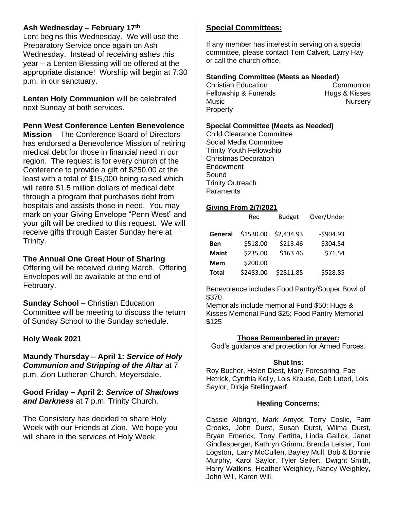## **Ash Wednesday – February 17th**

Lent begins this Wednesday. We will use the Preparatory Service once again on Ash Wednesday. Instead of receiving ashes this year – a Lenten Blessing will be offered at the appropriate distance! Worship will begin at 7:30 p.m. in our sanctuary.

**Lenten Holy Communion** will be celebrated next Sunday at both services.

## **Penn West Conference Lenten Benevolence**

**Mission** – The Conference Board of Directors has endorsed a Benevolence Mission of retiring medical debt for those in financial need in our region. The request is for every church of the Conference to provide a gift of \$250.00 at the least with a total of \$15,000 being raised which will retire \$1.5 million dollars of medical debt through a program that purchases debt from hospitals and assists those in need. You may mark on your Giving Envelope "Penn West" and your gift will be credited to this request. We will receive gifts through Easter Sunday here at Trinity.

## **The Annual One Great Hour of Sharing**

Offering will be received during March. Offering Envelopes will be available at the end of February.

**Sunday School** – Christian Education Committee will be meeting to discuss the return of Sunday School to the Sunday schedule.

## **Holy Week 2021**

**Maundy Thursday – April 1:** *Service of Holy Communion and Stripping of the Altar* at 7 p.m. Zion Lutheran Church, Meyersdale.

**Good Friday – April 2:** *Service of Shadows and Darkness* at 7 p.m. Trinity Church.

The Consistory has decided to share Holy Week with our Friends at Zion. We hope you will share in the services of Holy Week.

## **Special Committees:**

If any member has interest in serving on a special committee, please contact Tom Calvert, Larry Hay or call the church office.

### **Standing Committee (Meets as Needed)**

Christian Education Communion Fellowship & Funerals **Hugs & Kisses** Music **Music Music Music Music Music Music Music Music Music Music** Property

#### **Special Committee (Meets as Needed)**

Child Clearance Committee Social Media Committee Trinity Youth Fellowship Christmas Decoration Endowment Sound Trinity Outreach **Paraments** 

#### **Giving From 2/7/2021**

|              | Rec       | <b>Budget</b> | Over/Under |
|--------------|-----------|---------------|------------|
| General      | \$1530.00 | \$2,434.93    | $-5904.93$ |
| <b>Ben</b>   | \$518.00  | \$213.46      | \$304.54   |
| <b>Maint</b> | \$235.00  | \$163.46      | \$71.54    |
| <b>Mem</b>   | \$200.00  |               |            |
| <b>Total</b> | \$2483.00 | \$2811.85     | $-5528.85$ |

Benevolence includes Food Pantry/Souper Bowl of \$370

Memorials include memorial Fund \$50; Hugs & Kisses Memorial Fund \$25; Food Pantry Memorial \$125

#### **Those Remembered in prayer:**

God's guidance and protection for Armed Forces.

#### **Shut Ins:**

Roy Bucher, Helen Diest, Mary Forespring, Fae Hetrick, Cynthia Kelly, Lois Krause, Deb Luteri, Lois Saylor, Dirkje Stellingwerf.

#### **Healing Concerns:**

Cassie Albright, Mark Amyot, Terry Coslic, Pam Crooks, John Durst, Susan Durst, Wilma Durst, Bryan Emerick, Tony Fertitta, Linda Gallick, Janet Gindlesperger, Kathryn Grimm, Brenda Leister, Tom Logston, Larry McCullen, Bayley Mull, Bob & Bonnie Murphy, Karol Saylor, Tyler Seifert, Dwight Smith, Harry Watkins, Heather Weighley, Nancy Weighley, John Will, Karen Will.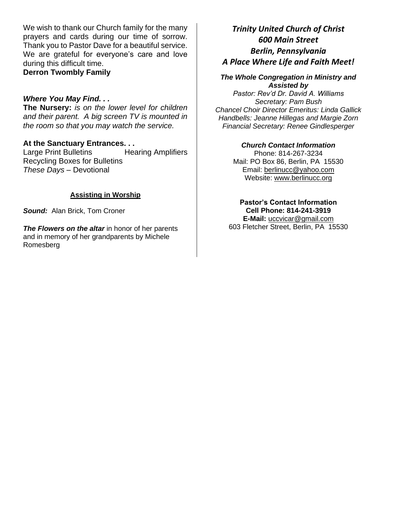We wish to thank our Church family for the many prayers and cards during our time of sorrow. Thank you to Pastor Dave for a beautiful service. We are grateful for everyone's care and love during this difficult time.

**Derron Twombly Family**

### *Where You May Find. . .*

**The Nursery:** *is on the lower level for children and their parent. A big screen TV is mounted in the room so that you may watch the service.*

### **At the Sanctuary Entrances. . .**

Large Print Bulletins Hearing Amplifiers Recycling Boxes for Bulletins *These Days –* Devotional

### **Assisting in Worship**

*Sound:* Alan Brick, Tom Croner

**The Flowers on the altar** in honor of her parents and in memory of her grandparents by Michele Romesberg

# *Trinity United Church of Christ 600 Main Street Berlin, Pennsylvania A Place Where Life and Faith Meet!*

#### *The Whole Congregation in Ministry and Assisted by*

*Pastor: Rev'd Dr. David A. Williams Secretary: Pam Bush Chancel Choir Director Emeritus: Linda Gallick Handbells: Jeanne Hillegas and Margie Zorn Financial Secretary: Renee Gindlesperger*

### *Church Contact Information*

Phone: 814-267-3234 Mail: PO Box 86, Berlin, PA 15530 Email: [berlinucc@yahoo.com](mailto:berlinucc@yahoo.com) Website: [www.berlinucc.org](http://www.berlinucc.org/)

**Pastor's Contact Information Cell Phone: 814-241-3919 E-Mail:** [uccvicar@gmail.com](mailto:uccvicar@gmail.com) 603 Fletcher Street, Berlin, PA 15530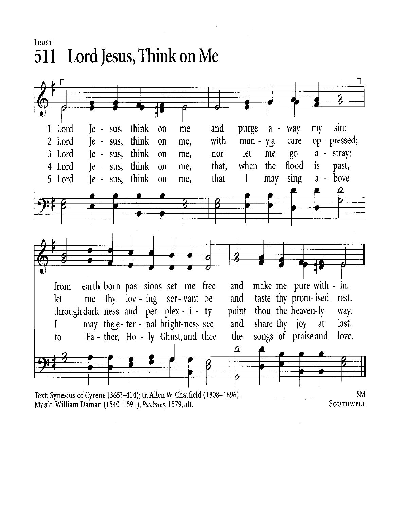**TRUST** 511 Lord Jesus, Think on Me

 $\sim$  $\sim 10$